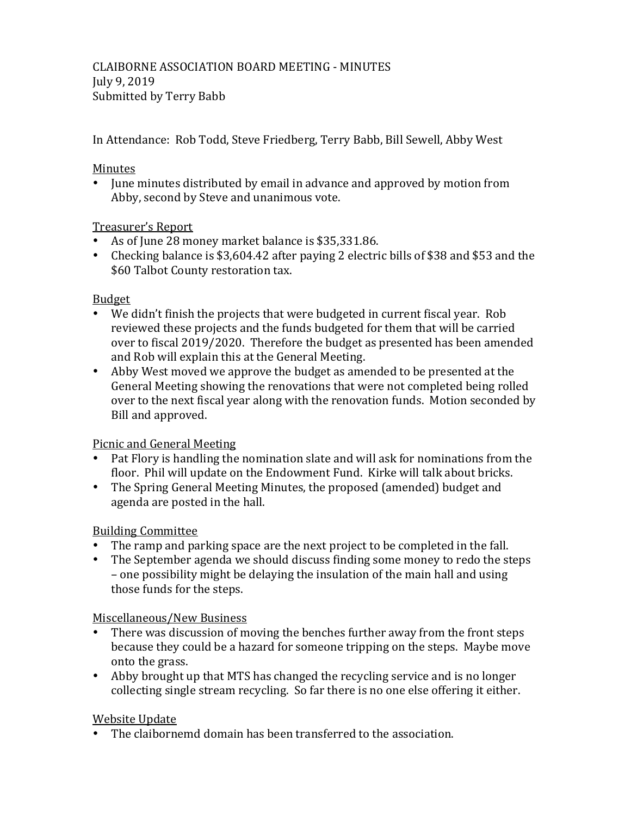In Attendance: Rob Todd, Steve Friedberg, Terry Babb, Bill Sewell, Abby West

### **Minutes**

• June minutes distributed by email in advance and approved by motion from Abby, second by Steve and unanimous vote.

### Treasurer's Report

- As of June 28 money market balance is \$35,331.86.
- Checking balance is \$3,604.42 after paying 2 electric bills of \$38 and \$53 and the \$60 Talbot County restoration tax.

### Budget

- We didn't finish the projects that were budgeted in current fiscal year. Rob reviewed these projects and the funds budgeted for them that will be carried over to fiscal 2019/2020. Therefore the budget as presented has been amended and Rob will explain this at the General Meeting.
- Abby West moved we approve the budget as amended to be presented at the General Meeting showing the renovations that were not completed being rolled over to the next fiscal year along with the renovation funds. Motion seconded by Bill and approved.

# Picnic and General Meeting

- Pat Flory is handling the nomination slate and will ask for nominations from the floor. Phil will update on the Endowment Fund. Kirke will talk about bricks.
- The Spring General Meeting Minutes, the proposed (amended) budget and agenda are posted in the hall.

# Building Committee

- The ramp and parking space are the next project to be completed in the fall.
- The September agenda we should discuss finding some money to redo the steps – one possibility might be delaying the insulation of the main hall and using those funds for the steps.

# Miscellaneous/New Business

- There was discussion of moving the benches further away from the front steps because they could be a hazard for someone tripping on the steps. Maybe move onto the grass.
- Abby brought up that MTS has changed the recycling service and is no longer collecting single stream recycling. So far there is no one else offering it either.

# **Website Update**

• The claibornemd domain has been transferred to the association.